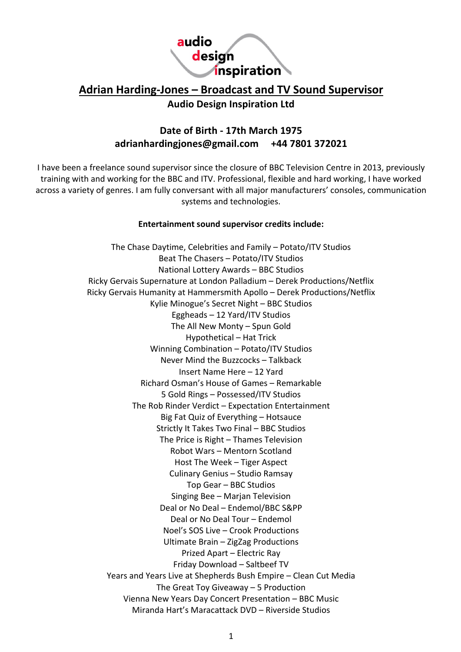

# **Adrian Harding-Jones – Broadcast and TV Sound Supervisor**

## **Audio Design Inspiration Ltd**

## **Date of Birth - 17th March 1975 adrianhardingjones@gmail.com +44 7801 372021**

I have been a freelance sound supervisor since the closure of BBC Television Centre in 2013, previously training with and working for the BBC and ITV. Professional, flexible and hard working, I have worked across a variety of genres. I am fully conversant with all major manufacturers' consoles, communication systems and technologies.

## **Entertainment sound supervisor credits include:**

The Chase Daytime, Celebrities and Family – Potato/ITV Studios Beat The Chasers – Potato/ITV Studios National Lottery Awards – BBC Studios Ricky Gervais Supernature at London Palladium – Derek Productions/Netflix Ricky Gervais Humanity at Hammersmith Apollo – Derek Productions/Netflix Kylie Minogue's Secret Night – BBC Studios Eggheads – 12 Yard/ITV Studios The All New Monty – Spun Gold Hypothetical – Hat Trick Winning Combination – Potato/ITV Studios Never Mind the Buzzcocks – Talkback Insert Name Here – 12 Yard Richard Osman's House of Games – Remarkable 5 Gold Rings – Possessed/ITV Studios The Rob Rinder Verdict – Expectation Entertainment Big Fat Quiz of Everything – Hotsauce Strictly It Takes Two Final – BBC Studios The Price is Right – Thames Television Robot Wars – Mentorn Scotland Host The Week – Tiger Aspect Culinary Genius – Studio Ramsay Top Gear – BBC Studios Singing Bee – Marjan Television Deal or No Deal – Endemol/BBC S&PP Deal or No Deal Tour – Endemol Noel's SOS Live – Crook Productions Ultimate Brain – ZigZag Productions Prized Apart – Electric Ray Friday Download – Saltbeef TV Years and Years Live at Shepherds Bush Empire – Clean Cut Media The Great Toy Giveaway – 5 Production Vienna New Years Day Concert Presentation – BBC Music Miranda Hart's Maracattack DVD – Riverside Studios